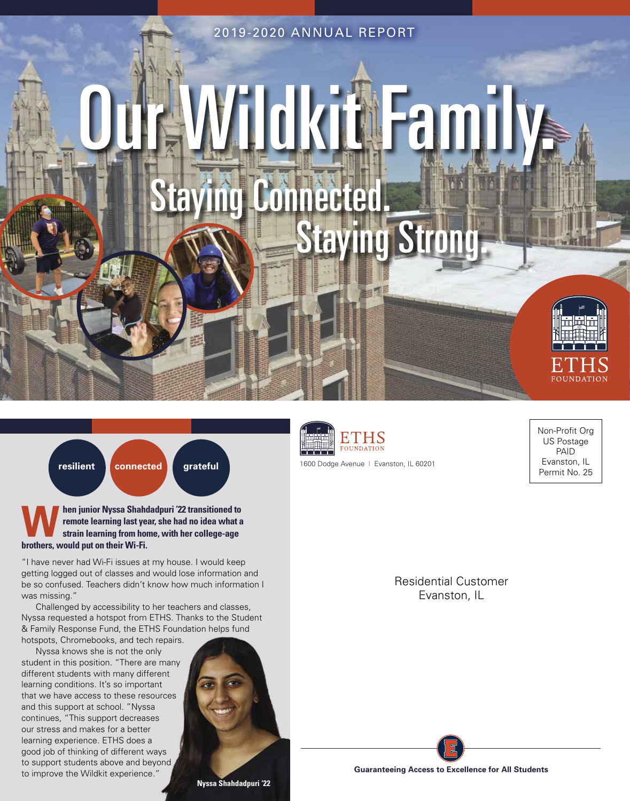2019-2020 ANNUAL REPORT

# **JOKTAH FAMI Taying Connecte** Staying Strong.





**When junior Nyssa Shahdadpuri '22 transitioned to remote learning last year, she had no idea what a strain learning from home, with her college-age brothers, would put on their Wi-Fi.**

"I have never had Wi-Fi issues at my house. I would keep getting logged out of classes and would lose information and be so confused. Teachers didn't know how much information I was missing."

Challenged by accessibility to her teachers and classes, Nyssa requested a hotspot from ETHS. Thanks to the Student & Family Response Fund, the ETHS Foundation helps fund hotspots, Chromebooks, and tech repairs.

Nyssa knows she is not the only student in this position. "There are many different students with many different learning conditions. It's so important that we have access to these resources and this support at school. "Nyssa continues, "This support decreases our stress and makes for a better learning experience. ETHS does a good job of thinking of different ways to support students above and beyond to improve the Wildkit experience."





1600 Dodge Avenue | Evanston, IL 60201

Non-Profit Org US Postage PAID Evanston, IL Permit No. 25

Residential Customer Evanston, IL

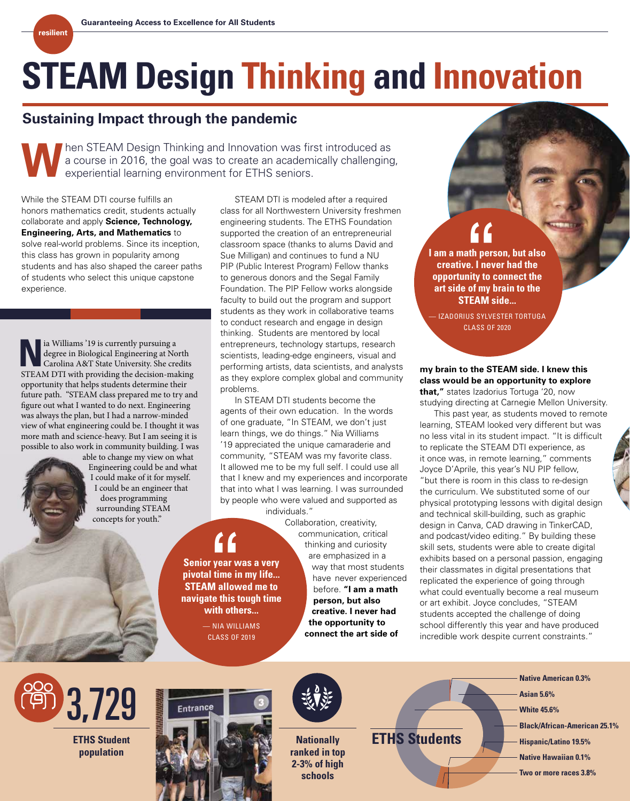## **STEAM Design Thinking and Innovation**

## **Sustaining Impact through the pandemic**

Thinking and Innovation was first introduced as<br>a course in 2016, the goal was to create an academically challenging<br>experiential learning environment for ETHS seniors. a course in 2016, the goal was to create an academically challenging, experiential learning environment for ETHS seniors.

While the STEAM DTI course fulfills an honors mathematics credit, students actually collaborate and apply **Science, Technology, Engineering, Arts, and Mathematics** to solve real-world problems. Since its inception, this class has grown in popularity among students and has also shaped the career paths of students who select this unique capstone experience.

**resilient**

**N** ia Williams '19 is currently pursuing a degree in Biological Engineering at No Carolina A&T State University. She cre degree in Biological Engineering at North Carolina A&T State University. She credits STEAM DTI with providing the decision-making opportunity that helps students determine their future path. "STEAM class prepared me to try and figure out what I wanted to do next. Engineering was always the plan, but I had a narrow-minded view of what engineering could be. I thought it was more math and science-heavy. But I am seeing it is possible to also work in community building. I was

 able to change my view on what Engineering could be and what I could make of it for myself. I could be an engineer that does programming surrounding STEAM concepts for youth."

STEAM DTI is modeled after a required class for all Northwestern University freshmen engineering students. The ETHS Foundation supported the creation of an entrepreneurial classroom space (thanks to alums David and Sue Milligan) and continues to fund a NU PIP (Public Interest Program) Fellow thanks to generous donors and the Segal Family Foundation. The PIP Fellow works alongside faculty to build out the program and support students as they work in collaborative teams to conduct research and engage in design thinking. Students are mentored by local entrepreneurs, technology startups, research scientists, leading-edge engineers, visual and performing artists, data scientists, and analysts as they explore complex global and community problems.

In STEAM DTI students become the agents of their own education. In the words of one graduate, "In STEAM, we don't just learn things, we do things." Nia Williams '19 appreciated the unique camaraderie and community, "STEAM was my favorite class. It allowed me to be my full self. I could use all that I knew and my experiences and incorporate that into what I was learning. I was surrounded by people who were valued and supported as individuals."

**Senior year was a very pivotal time in my life... Senior year was a very<br>
Senior year was a very<br>
steam allowed me to navigate this tough time** 

> **with others...** — NIA WILLIAMS CLASS OF 2019

Collaboration, creativity, communication, critical thinking and curiosity are emphasized in a way that most students have never experienced before. **"I am a math person, but also creative. I never had the opportunity to connect the art side of** 

**I am a math person, but also creative. I never had the opportunity to connect the art side of my brain to the STEAM side... f**<br>th pers<br>e. I nev<br>hity to c

— IZADORIUS SYLVESTER TORTUGA CLASS OF 2020

## **my brain to the STEAM side. I knew this class would be an opportunity to explore that,"** states Izadorius Tortuga '20, now

studying directing at Carnegie Mellon University. This past year, as students moved to remote

learning, STEAM looked very different but was no less vital in its student impact. "It is difficult to replicate the STEAM DTI experience, as it once was, in remote learning," comments Joyce D'Aprile, this year's NU PIP fellow, "but there is room in this class to re-design the curriculum. We substituted some of our physical prototyping lessons with digital design and technical skill-building, such as graphic design in Canva, CAD drawing in TinkerCAD, and podcast/video editing." By building these skill sets, students were able to create digital exhibits based on a personal passion, engaging their classmates in digital presentations that replicated the experience of going through what could eventually become a real museum or art exhibit. Joyce concludes, "STEAM students accepted the challenge of doing school differently this year and have produced incredible work despite current constraints."



**ETHS Student population**





**Nationally ranked in top 2-3% of high schools**

**ETHS Students Here** Hispanic/Latino 19.5%

## **Native American 0.3%**

- **Asian 5.6%**
- **White 45.6%**
- **Black/African-American 25.1%**
- 
- **Native Hawaiian 0.1%**
- **Two or more races 3.8%**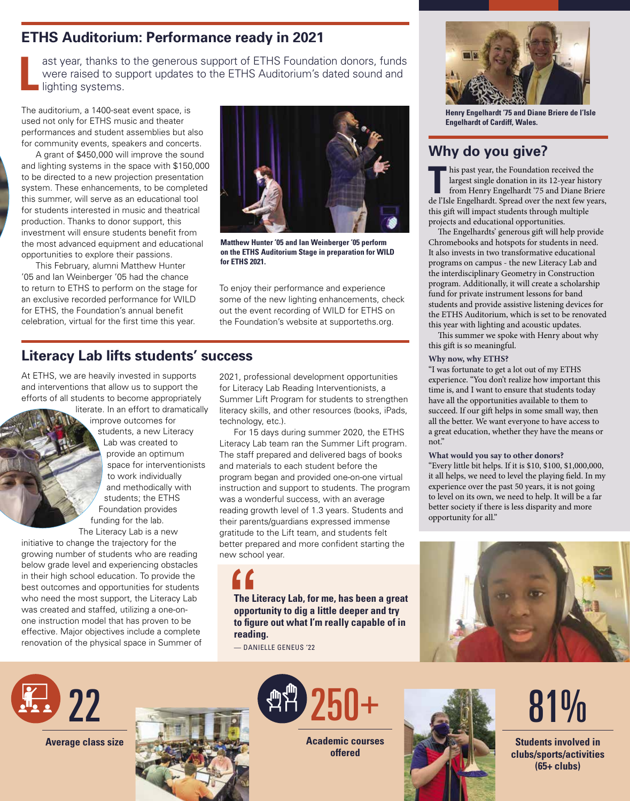## **ETHS Auditorium: Performance ready in 2021**

**L** ast year, thanks to the generous support of ETHS Foundation donors, funds were raised to support updates to the ETHS Auditorium's dated sound and **I**lighting systems.

The auditorium, a 1400-seat event space, is used not only for ETHS music and theater performances and student assemblies but also for community events, speakers and concerts.

A grant of \$450,000 will improve the sound and lighting systems in the space with \$150,000 to be directed to a new projection presentation system. These enhancements, to be completed this summer, will serve as an educational tool for students interested in music and theatrical production. Thanks to donor support, this investment will ensure students benefit from the most advanced equipment and educational opportunities to explore their passions.

This February, alumni Matthew Hunter '05 and Ian Weinberger '05 had the chance to return to ETHS to perform on the stage for an exclusive recorded performance for WILD for ETHS, the Foundation's annual benefit celebration, virtual for the first time this year.



**Matthew Hunter '05 and Ian Weinberger '05 perform on the ETHS Auditorium Stage in preparation for WILD for ETHS 2021.**

To enjoy their performance and experience some of the new lighting enhancements, check out the event recording of WILD for ETHS on the Foundation's website at supporteths.org.

## **Literacy Lab lifts students' success**

At ETHS, we are heavily invested in supports and interventions that allow us to support the efforts of all students to become appropriately

literate. In an effort to dramatically improve outcomes for students, a new Literacy Lab was created to provide an optimum space for interventionists to work individually and methodically with students; the ETHS Foundation provides funding for the lab.

The Literacy Lab is a new initiative to change the trajectory for the growing number of students who are reading below grade level and experiencing obstacles in their high school education. To provide the best outcomes and opportunities for students who need the most support, the Literacy Lab was created and staffed, utilizing a one-onone instruction model that has proven to be effective. Major objectives include a complete renovation of the physical space in Summer of

2021, professional development opportunities for Literacy Lab Reading Interventionists, a Summer Lift Program for students to strengthen literacy skills, and other resources (books, iPads, technology, etc.).

For 15 days during summer 2020, the ETHS Literacy Lab team ran the Summer Lift program. The staff prepared and delivered bags of books and materials to each student before the program began and provided one-on-one virtual instruction and support to students. The program was a wonderful success, with an average reading growth level of 1.3 years. Students and their parents/guardians expressed immense gratitude to the Lift team, and students felt better prepared and more confident starting the new school year.

**f**<br>The Li<br>oppor<br>to figu **The Literacy Lab, for me, has been a great opportunity to dig a little deeper and try to figure out what I'm really capable of in reading.**

— DANIELLE GENEUS '22



**Henry Engelhardt '75 and Diane Briere de l'Isle Engelhardt of Cardiff, Wales.**

## **Why do you give?**

This past year, the Foundation received the<br>largest single donation in its 12-year histor<br>from Henry Engelhardt '75 and Diane Bride<br>also Frazelhardt Spread super the next fourned largest single donation in its 12-year history from Henry Engelhardt '75 and Diane Briere de l'Isle Engelhardt. Spread over the next few years, this gift will impact students through multiple projects and educational opportunities.

The Engelhardts' generous gift will help provide Chromebooks and hotspots for students in need. It also invests in two transformative educational programs on campus - the new Literacy Lab and the interdisciplinary Geometry in Construction program. Additionally, it will create a scholarship fund for private instrument lessons for band students and provide assistive listening devices for the ETHS Auditorium, which is set to be renovated this year with lighting and acoustic updates.

This summer we spoke with Henry about why this gift is so meaningful.

## **Why now, why ETHS?**

"I was fortunate to get a lot out of my ETHS experience. "You don't realize how important this time is, and I want to ensure that students today have all the opportunities available to them to succeed. If our gift helps in some small way, then all the better. We want everyone to have access to a great education, whether they have the means or not."

## **What would you say to other donors?**

"Every little bit helps. If it is \$10, \$100, \$1,000,000, it all helps, we need to level the playing field. In my experience over the past 50 years, it is not going to level on its own, we need to help. It will be a far better society if there is less disparity and more opportunity for all."





**Average class size**





**Academic courses offered**



## 81%

**Students involved in clubs/sports/activities (65+ clubs)**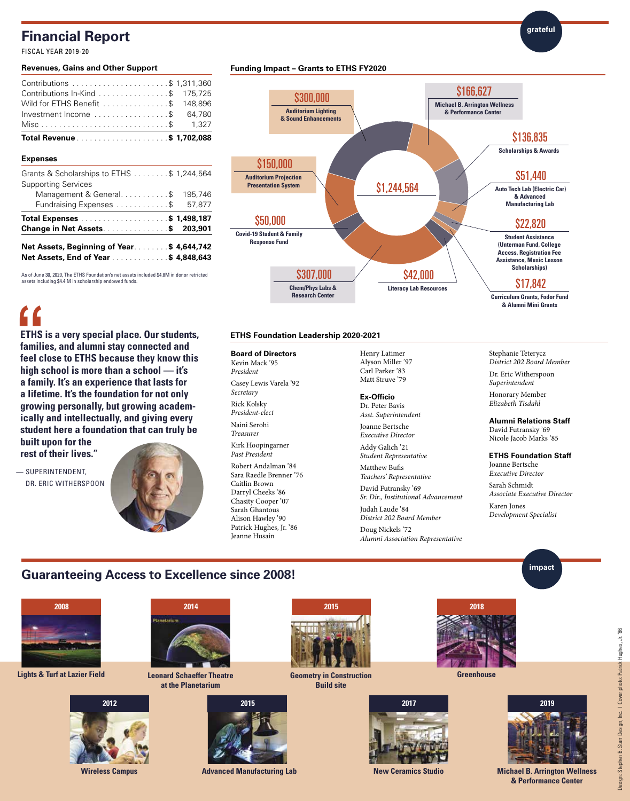## **Financial Report**

FISCAL YEAR 2019-20

#### **Revenues, Gains and Other Support**

## **Expenses**

**f**<br>ETHS<br>famili<br>feel c<br>bigh o

| Net Assets, Beginning of Year\$ 4,644,742<br>Net Assets, End of Year \$ 4,848,643 |         |
|-----------------------------------------------------------------------------------|---------|
| <b>Change in Net Assets\$ 203,901</b>                                             |         |
|                                                                                   |         |
| Fundraising Expenses \$ 57,877                                                    |         |
| Management & General\$                                                            | 195,746 |
| <b>Supporting Services</b>                                                        |         |
| Grants & Scholarships to ETHS \$ 1,244,564                                        |         |

As of June 30, 2020, The ETHS Foundation's net assets included \$4.8M in donor retricted

**ETHS is a very special place. Our students, families, and alumni stay connected and feel close to ETHS because they know this high school is more than a school — it's a family. It's an experience that lasts for a lifetime. It's the foundation for not only growing personally, but growing academically and intellectually, and giving every student here a foundation that can truly be** 

assets including \$4.4 M in scholarship endowed funds.

**Funding Impact – Grants to ETHS FY2020**



## **ETHS Foundation Leadership 2020-2021**

#### **Board of Directors**

Kevin Mack '95 *President* Casey Lewis Varela '92 *Secretary* Rick Kolsky *President-elect* Naini Serohi *Treasurer* Kirk Hoopingarner *Past President* Robert Andalman '84 Sara Raedle Brenner '76 Caitlin Brown Darryl Cheeks '86 Chasity Cooper '07 Sarah Ghantous Alison Hawley '90 Patrick Hughes, Jr. '86 Jeanne Husain

Henry Latimer Alyson Miller '97 Carl Parker '83 Matt Struve '79

#### **Ex-Officio** Dr. Peter Bavis

*Asst. Superintendent*

Joanne Bertsche *Executive Director*

Addy Galich '21 *Student Representative* Matthew Bufis

*Teachers' Representative* David Futransky '69

*Sr. Dir., Institutional Advancement* Judah Laude '84 *District 202 Board Member* Doug Nickels '72

*Alumni Association Representative*

## Stephanie Teterycz *District 202 Board Member* Dr. Eric Witherspoon

**grateful**

*Superintendent*

Honorary Member *Elizabeth Tisdahl*

**Alumni Relations Staff** David Futransky '69 Nicole Jacob Marks '85

### **ETHS Foundation Staff** Joanne Bertsche *Executive Director* Sarah Schmidt *Associate Executive Director* Karen Jones

*Development Specialist*

## **Guaranteeing Access to Excellence since 2008!** *impact*



**built upon for the rest of their lives."**

— SUPERINTENDENT,

DR. ERIC WITHERSPOON

**Lights & Turf at Lazier Field Leonard Schaeffer Theatre** 





**at the Planetarium**



**Wireless Campus Advanced Manufacturing Lab New Ceramics Studio Michael B. Arrington Wellness** 



**Geometry in Construction Build site**





**Greenhouse**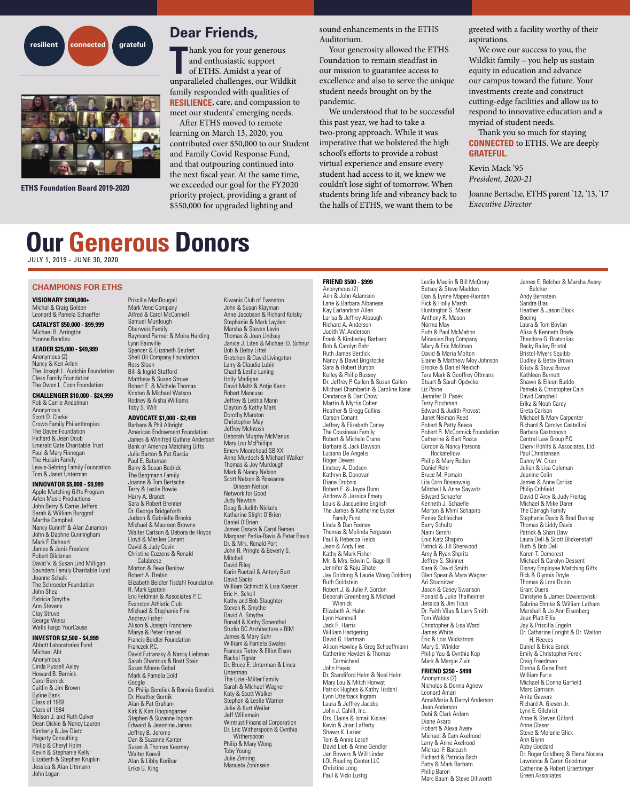



**ETHS Foundation Board 2019-2020**

## **Dear Friends,**

hank you for your generous and enthusiastic support

**T** of ETHS. Amidst a year of unparalleled challenges, our Wildkit family responded with qualities of **RESILIENCE**, care, and compassion to meet our students' emerging needs.

After ETHS moved to remote learning on March 13, 2020, you contributed over \$50,000 to our Student and Family Covid Response Fund, and that outpouring continued into the next fiscal year. At the same time, we exceeded our goal for the FY2020 priority project, providing a grant of \$550,000 for upgraded lighting and

sound enhancements in the ETHS Auditorium.

Your generosity allowed the ETHS Foundation to remain steadfast in our mission to guarantee access to excellence and also to serve the unique student needs brought on by the pandemic.

We understood that to be successful this past year, we had to take a two-prong approach. While it was imperative that we bolstered the high school's efforts to provide a robust virtual experience and ensure every student had access to it, we knew we couldn't lose sight of tomorrow. When students bring life and vibrancy back to the halls of ETHS, we want them to be

greeted with a facility worthy of their aspirations.

We owe our success to you, the Wildkit family – you help us sustain equity in education and advance our campus toward the future. Your investments create and construct cutting-edge facilities and allow us to respond to innovative education and a myriad of student needs.

Thank you so much for staying **CONNECTED** to ETHS. We are deeply **GRATEFUL.**

Kevin Mack '95 *President, 2020-21* 

Joanne Bertsche, ETHS parent '12, '13, '17 *Executive Director*

## **Our Generous Donors**

JULY 1, 2019 - JUNE 30, 2020

#### **CHAMPIONS FOR ETHS**

**VISIONARY \$100,000+** Michal & Craig Golden Leonard & Pamela Schaeffer

**CATALYST \$50,000 - \$99,999** Michael B. Arrington Yvonne Randlev

**LEADER \$25,000 - \$49,999** Anonymous (2) Nancy & Ken Arlen The Joseph L. Aurichio Foundation Cless Family Foundation The Owen L. Coon Foundation

#### **CHALLENGER \$10,000 - \$24,999**

Rob & Carrie Andalman Anonymous Scott D. Clarke Crown Family Philanthropies The Davee Foundation Richard & Jean Doub Emerald Gate Charitable Trust Paul & Mary Finnegan The Husain Family Lewis-Sebring Family Foundation Tom & Janet Unterman

#### **INNOVATOR \$5,000 - \$9,999**

Apple Matching Gifts Program Arlen Music Productions John Berry & Carrie Jeffers Sarah & William Burggraf Martha Campbell Nancy Cunniff & Alan Zunamon John & Daphne Cunningham Mark F. Dehnert James & Janis Freeland Robert Glickman David V. & Susan Lind Milligan Saunders Family Charitable Fund Joanne Schalk The Schroeder Foundation John Shea Patricia Smythe Ann Stevens Clay Struve George Weisz Wells Fargo YourCause

#### **INVESTOR \$2,500 - \$4,999**

Abbott Laboratories Fund Michael Abt Anonymous Cinda Russell Axley Howard B. Bernick Carol Bernick Caitlin & Jim Brown Byline Bank Class of 1969 Class of 1984 Nelson J. and Ruth Culver Dean Dickie & Nancy Lauren Kimberly & Jay Dietz Hagerty Consulting Philip & Cheryl Holm Kevin & Stephanie Kelly Elizabeth & Stephen Krupkin Jessica & Alan Littmann John Logan

Priscilla MacDougall Mark Vend Company Alfred & Carol McConnell Samuel Murdough Oberweis Family Raymond Parmer & Moira Harding Lynn Rainville Spencer & Elizabeth Seufert Shell Oil Company Foundation Ross Sloan Bill & Ingrid Stafford Matthew & Susan Struve Robert E. & Michele Thomas Kristen & Michael Watson Rodney & Aisha Williams Toby S. Wilt

## **ADVOCATE \$1,000 - \$2,499**

Barbara & Phil Albright American Endowment Foundation James & Winifred Guthrie Anderson Bank of America Matching Gifts Julie Barton & Pat Garcia Paul E. Bateman Barry & Susan Bedrick The Bergmann Family Joanne & Tom Bertsche Terry & Leslie Bowie Harry A. Brandt Sara & Robert Brenner Dr. George Bridgeforth Judson & Gabrielle Brooks Michael & Maureen Browne Walter Carlson & Debora de Hoyos Lloyd & Marilee Conant David & Judy Covin Christine Cozzens & Ronald Calabrese Morton & Reva Denlow Robert A. Drebin Elizabeth Beidler Tisdahl Foundation R. Mark Epstein Eric Feldman & Associates P. C. Evanston Athletic Club Michael & Stephanie Fine Andrew Fisher Alison & Joseph Franchere Marya & Peter Frankel Francis Beidler Foundation Franczek P.C. David Futransky & Nancy Liebman Sarah Ghantous & Brett Stein Susan Moore Gobel Mark & Pamela Gold Google Dr. Philip Gorelick & Bonnie Gorelick Dr. Heather Gornik Alan & Pat Graham Kirk & Kim Hoopingarner Stephen & Suzanne Ingram Edward & Jeannine James Jeffrey B. Jerome Dan & Suzanne Kanter Susan & Thomas Kearney Walter Keevil Alan & Libby Keribar Erika G. King

Kiwanis Club of Evanston John & Susan Klayman Anne Jacobson & Richard Kolsky Stephanie & Mark Layden Marsha & Steven Levin Thomas & Joan Lindsey Janice J. Liten & Michael D. Schnur Bob & Betsy Littel Gretchen & David Livingston Larry & Claudia Lubin Chad & Leslie Luning Holly Madigan David Maltz & Antje Kann Robert Mancuso Jeffrey & Letitia Mann Clayton & Kathy Mark Dorothy Marston Christopher May Jeffrey McIntosh Deborah Murphy McManus Mary Lou McPhillips Emery Moorehead SB XX Anne Murdoch & Michael Walker Thomas & Joy Murdough Mark & Nancy Nelson Scott Nelson & Roseanne Dineen-Nelson Network for Good Judy Newton Doug & Judith Nickels Katharine Slight O'Brien Daniel O'Brien James Ossyra & Carol Remen Margaret Perlia-Bavis & Peter Bavis Dr. & Mrs. Ronald Port John R. Pringle & Beverly S. Mitchell David Riley Karin Ruetzel & Antony Burt David Sacks William Schmidt & Lisa Kaeser Eric H. Scholl Kathy and Bob Slaughter Steven R. Smythe David A. Smythe Ronald & Kathy Sonenthal Studio GC Architecture + BIM James & Mary Suhr William & Pamela Swales Frances Tietov & Elliot Elson Rachel Tigner Dr. Bruce E. Unterman & Linda Unterman The Uziel-Miller Family Sarah & Michael Wagner Katy & Scott Walker Stephen & Leslie Warner Julie & Kurt Weiler Jeff Willemain Wintrust Financial Corporation Dr. Eric Witherspoon & Cynthia Witherspoon Philip & Mary Wong Toby Young Julie Zimring Manuela Zoninsein

#### **FRIEND \$500 - \$999** Anonymous (2)

Ann & John Adamson Lane & Barbara Albanese Kay Earlandson Allen Larisa & Jeffrey Alpaugh Richard A. Anderson Judith W. Anderson Frank & Kimberley Barbaro Bob & Carolyn Behr Ruth James Berdick Nancy & David Brigstocke Sara & Robert Burson Kelley & Philip Bussey Dr. Jeffrey P. Callen & Susan Callen Michael Chamberlin & Caroline Kane Candance & Dan Chow Martin & Myrtis Cohen Heather & Gregg Collins Carson Conant Jeffrey & Elizabeth Coney The Cousineau Family Robert & Michele Crane Barbara & Jack Dawson Luciano De Angelis Roger Dewes Lindsey A. Dodson Kathryn B. Donovan Diane Drobnis Robert E. & Joyce Dunn Andrew & Jessica Emery Louis & Jacqueline English The James & Katherine Eyster Family Fund Linda & Dan Feeney Thomas & Melinda Ferguson Paul & Rebecca Fields Jean & Andy Fies Kathy & Mark Fisher Mr. & Mrs. Edwin C. Gage III Jennifer & Raju Ghate Jay Goldring & Laurie Woog Goldring Ruth Goldstein Robert J. & Julie P. Gordon Deborah Greenberg & Michael Winnick Elizabeth A. Hahn Lynn Hammell Jack R. Harris William Hartgering David G. Hartman Alison Hawley & Greg Schoeffmann Catherine Hayden & Thomas Carmichael John Hayes Dr. Standiford Helm & Noel Helm Mary Lou & Mitch Horwat Patrick Hughes & Kathy Tisdahl Lynn Utterback Ingram Laura & Jeffrey Jacobs John J. Cahill, Inc. Drs. Elaine & Ismail Kisisel Kevin & Joan Lafferty Shawn K. Lazier Tom & Annie Lesch David Lieb & Anne Gendler Jan Bowers & Will Linder LOL Reading Center LLC Christine Long Paul & Vicki Lustig

Leslie Maclin & Bill McCrory Betsey & Steve Madden Dan & Lynne Mapes-Riordan Rick & Holly Marsh Huntington S. Mason Anthony R. Mason Norma May Ruth & Paul McMahon Minasian Rug Company Mary & Eric Mollman David & Maria Molton Elaine & Matthew Moy Johnson Brooke & Daniel Neidich Tara Mark & Geoffrey Oltmans Stuart & Sarah Opdycke Liz Paine Jennifer D. Pasek Terry Plochman Edward & Judith Provost Janet Neiman Reed Robert & Patty Reece Robert R. McCormick Foundation Catherine & Bart Rocca Gordon & Nancy Persons **Rockafellow** Philip & Mary Roden Daniel Rohr Bruce M. Romain Lila Corn Rosenweig Mitchell & Anne Saywitz Edward Schaefer Kenneth J. Schaefle Morton & Mimi Schapiro Renee Schleicher Barry Schultz Naini Serohi Enid Katz Shapiro Patrick & Jill Sherwood Amy & Ryan Shpritz Jeffrey S. Skinner Kara & David Smith Glen Spear & Myra Wagner Ari Studnitzer Jason & Casey Swanson Ronald & Julie Thalheimer Jessica & Jim Ticus Dr. Faith Vilas & Larry Smith Tom Walder Christopher & Lisa Ward James White Eric & Lois Wickstrom Mary S. Winkler Philip Yau & Cynthia Kop Mark & Margie Zivin **FRIEND \$250 - \$499** Anonymous (2) Nicholas & Donna Agnew Leonard Amari AnnaMaria & Darryl Anderson Jean Anderson Debi & Clark Ardern Diane Asaro Robert & Alexa Avery Michael & Cam Axelrood

Larry & Anne Axelrood Michael F. Baccash Richard & Patricia Bach Patty & Mark Barbato Philip Baron

Marc Baum & Steve Dillworth

James E. Belcher & Marsha Avery-Belcher Andy Bernstein Sandra Blau Heather & Jason Block Boeing Laura & Tom Boylan Alisa & Kenneth Brady Theodore G. Bratsolias Becky Bailey Bristol Bristol-Myers Squibb Dudley & Betsy Brown Kristy & Steve Brown Kathleen Burnett Shawn & Eileen Budde Pamela & Christopher Cain David Campbell Erika & Noah Carey Greta Carlson Michael & Mary Carpenter Richard & Carolyn Castellini Barbara Castronovo Central Law Group P.C. Cheryl Rohlfs & Associates, Ltd. Paul Christensen Danny W. Chun Julian & Lisa Coleman Jeanine Colin James & Anne Corliss Philip Crihfield David D'Arcy & Judy Freitag Michael & Mike Darer The Darragh Family Stephanie Davis & Brad Dunlap Thomas & Liddy Davis Patrick & Shari Daw Laura Dell & Scott Blickenstaff Ruth & Bob Dell Karen T. Demorest Michael & Carolyn Dessent Disney Employee Matching Gifts Rick & Glynnis Doyle Thomas & Lora Dubin Grant Duers Christyne & James Dzwierzynski Sabrina Ehmke & William Latham Marshall & Jo Ann Eisenberg Joan Platt Ellis Jay & Priscilla Engeln Dr. Catharine Enright & Dr. Walton H. Reeves Daniel & Erica Esrick Emily & Christopher Ferek Craig Freedman Donna & Gene Frett William Furie Michael & Donna Garfield Marc Garrison Anita Gewurz Richard A. Giesen Jr. Lynn E. Gilchrist Anne & Steven Gilford Anne Glaser Steve & Melanie Glick Ann Glynn Abby Goddard Dr. Roger Goldberg & Elena Nocera Lawrence & Caren Goodman Catherine & Robert Graettinger Green Associates